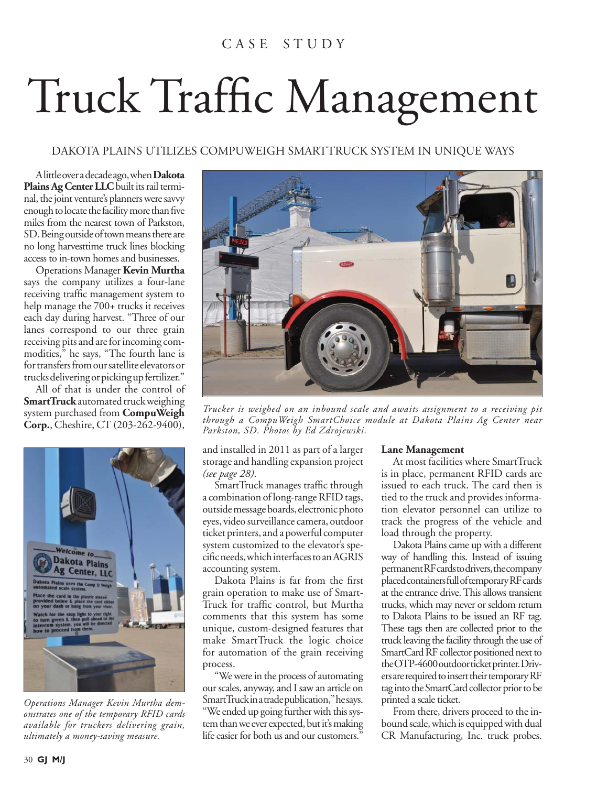## C A S E S T U D Y

## Truck Traffic Management

DAKOTA PLAINS UTILIZES COMPUWEIGH SMARTTRUCK SYSTEM IN UNIQUE WAYS

A little over a decade ago, when **Dakota Plains Ag Center LLC** built its rail terminal, the joint venture's planners were savvy enough to locate the facility more than five miles from the nearest town of Parkston, SD. Being outside of town means there are no long harvesttime truck lines blocking access to in-town homes and businesses.

Operations Manager **Kevin Murtha**  says the company utilizes a four-lane receiving traffic management system to help manage the 700+ trucks it receives each day during harvest. "Three of our lanes correspond to our three grain receiving pits and are for incoming commodities," he says, "The fourth lane is for transfers from our satellite elevators or trucks delivering or picking up fertilizer."

All of that is under the control of **SmartTruck** automated truck weighing system purchased from **CompuWeigh Corp.**, Cheshire, CT (203-262-9400),



*Operations Manager Kevin Murtha demonstrates one of the temporary RFID cards available for truckers delivering grain, ultimately a money-saving measure.*



*Trucker is weighed on an inbound scale and awaits assignment to a receiving pit through a CompuWeigh SmartChoice module at Dakota Plains Ag Center near Parkston, SD. Photos by Ed Zdrojewski.*

and installed in 2011 as part of a larger storage and handling expansion project *(see page 28)*.

SmartTruck manages traffic through a combination of long-range RFID tags, outside message boards, electronic photo eyes, video surveillance camera, outdoor ticket printers, and a powerful computer system customized to the elevator's specific needs, which interfaces to an AGRIS accounting system.

Dakota Plains is far from the first grain operation to make use of Smart-Truck for traffic control, but Murtha comments that this system has some unique, custom-designed features that make SmartTruck the logic choice for automation of the grain receiving process.

"We were in the process of automating our scales, anyway, and I saw an article on SmartTruck in a trade publication," he says. "We ended up going further with this system than we ever expected, but it's making life easier for both us and our customers."

## **Lane Management**

At most facilities where SmartTruck is in place, permanent RFID cards are issued to each truck. The card then is tied to the truck and provides information elevator personnel can utilize to track the progress of the vehicle and load through the property.

Dakota Plains came up with a different way of handling this. Instead of issuing permanent RF cards to drivers, the company placed containers full of temporary RF cards at the entrance drive. This allows transient trucks, which may never or seldom return to Dakota Plains to be issued an RF tag. These tags then are collected prior to the truck leaving the facility through the use of SmartCard RF collector positioned next to the OTP-4600 outdoor ticket printer. Drivers are required to insert their temporary RF tag into the SmartCard collector prior to be printed a scale ticket.

From there, drivers proceed to the inbound scale, which is equipped with dual CR Manufacturing, Inc. truck probes.